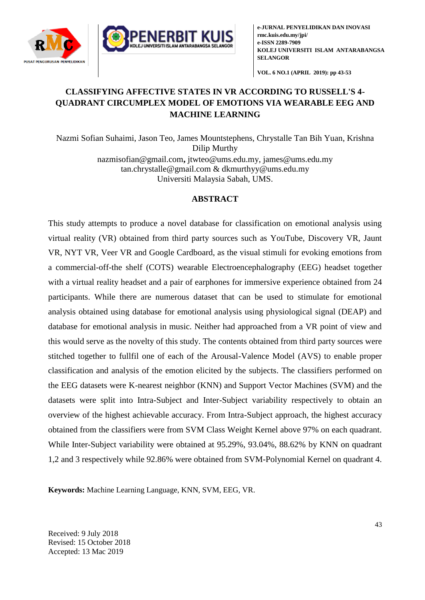



**VOL. 6 NO.1 (APRIL 2019): pp 43-53**

# **CLASSIFYING AFFECTIVE STATES IN VR ACCORDING TO RUSSELL'S 4- QUADRANT CIRCUMPLEX MODEL OF EMOTIONS VIA WEARABLE EEG AND MACHINE LEARNING**

Nazmi Sofian Suhaimi, Jason Teo, James Mountstephens, Chrystalle Tan Bih Yuan, Krishna Dilip Murthy [nazmisofian@gmail.com](mailto:nazmisofian@gmail.com)**,** [jtwteo@ums.edu.my,](mailto:jtwteo@ums.edu.my) james@ums.edu.my [tan.chrystalle@gmail.com](mailto:tan.chrystalle@gmail.com) & dkmurthyy@ums.edu.my Universiti Malaysia Sabah, UMS.

# **ABSTRACT**

This study attempts to produce a novel database for classification on emotional analysis using virtual reality (VR) obtained from third party sources such as YouTube, Discovery VR, Jaunt VR, NYT VR, Veer VR and Google Cardboard, as the visual stimuli for evoking emotions from a commercial-off-the shelf (COTS) wearable Electroencephalography (EEG) headset together with a virtual reality headset and a pair of earphones for immersive experience obtained from 24 participants. While there are numerous dataset that can be used to stimulate for emotional analysis obtained using database for emotional analysis using physiological signal (DEAP) and database for emotional analysis in music. Neither had approached from a VR point of view and this would serve as the novelty of this study. The contents obtained from third party sources were stitched together to fullfil one of each of the Arousal-Valence Model (AVS) to enable proper classification and analysis of the emotion elicited by the subjects. The classifiers performed on the EEG datasets were K-nearest neighbor (KNN) and Support Vector Machines (SVM) and the datasets were split into Intra-Subject and Inter-Subject variability respectively to obtain an overview of the highest achievable accuracy. From Intra-Subject approach, the highest accuracy obtained from the classifiers were from SVM Class Weight Kernel above 97% on each quadrant. While Inter-Subject variability were obtained at 95.29%, 93.04%, 88.62% by KNN on quadrant 1,2 and 3 respectively while 92.86% were obtained from SVM-Polynomial Kernel on quadrant 4.

**Keywords:** Machine Learning Language, KNN, SVM, EEG, VR.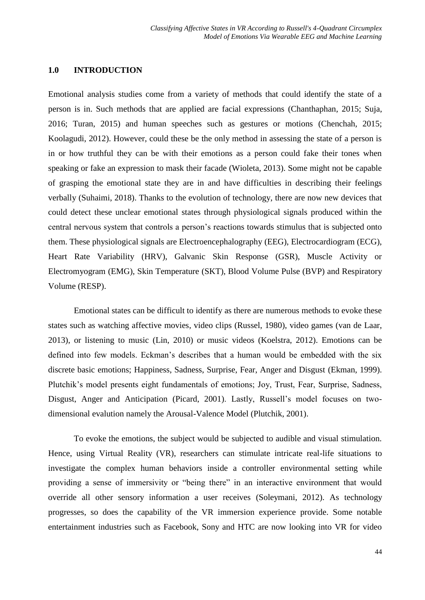# **1.0 INTRODUCTION**

Emotional analysis studies come from a variety of methods that could identify the state of a person is in. Such methods that are applied are facial expressions (Chanthaphan, 2015; Suja, 2016; Turan, 2015) and human speeches such as gestures or motions (Chenchah, 2015; Koolagudi, 2012). However, could these be the only method in assessing the state of a person is in or how truthful they can be with their emotions as a person could fake their tones when speaking or fake an expression to mask their facade (Wioleta, 2013). Some might not be capable of grasping the emotional state they are in and have difficulties in describing their feelings verbally (Suhaimi, 2018). Thanks to the evolution of technology, there are now new devices that could detect these unclear emotional states through physiological signals produced within the central nervous system that controls a person's reactions towards stimulus that is subjected onto them. These physiological signals are Electroencephalography (EEG), Electrocardiogram (ECG), Heart Rate Variability (HRV), Galvanic Skin Response (GSR), Muscle Activity or Electromyogram (EMG), Skin Temperature (SKT), Blood Volume Pulse (BVP) and Respiratory Volume (RESP).

Emotional states can be difficult to identify as there are numerous methods to evoke these states such as watching affective movies, video clips (Russel, 1980), video games (van de Laar, 2013), or listening to music (Lin, 2010) or music videos (Koelstra, 2012). Emotions can be defined into few models. Eckman's describes that a human would be embedded with the six discrete basic emotions; Happiness, Sadness, Surprise, Fear, Anger and Disgust (Ekman, 1999). Plutchik's model presents eight fundamentals of emotions; Joy, Trust, Fear, Surprise, Sadness, Disgust, Anger and Anticipation (Picard, 2001). Lastly, Russell's model focuses on twodimensional evalution namely the Arousal-Valence Model (Plutchik, 2001).

To evoke the emotions, the subject would be subjected to audible and visual stimulation. Hence, using Virtual Reality (VR), researchers can stimulate intricate real-life situations to investigate the complex human behaviors inside a controller environmental setting while providing a sense of immersivity or "being there" in an interactive environment that would override all other sensory information a user receives (Soleymani, 2012). As technology progresses, so does the capability of the VR immersion experience provide. Some notable entertainment industries such as Facebook, Sony and HTC are now looking into VR for video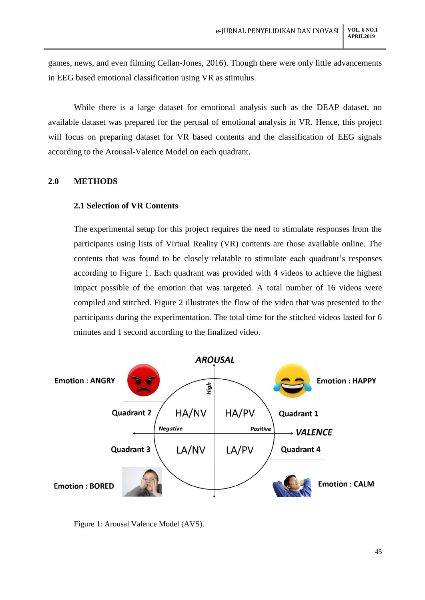games, news, and even filming Cellan-Jones, 2016). Though there were only little advancements in EEG based emotional classification using VR as stimulus.

While there is a large dataset for emotional analysis such as the DEAP dataset, no available dataset was prepared for the perusal of emotional analysis in VR. Hence, this project will focus on preparing dataset for VR based contents and the classification of EEG signals according to the Arousal-Valence Model on each quadrant.

### **2.0 METHODS**

### **2.1 Selection of VR Contents**

The experimental setup for this project requires the need to stimulate responses from the participants using lists of Virtual Reality (VR) contents are those available online. The contents that was found to be closely relatable to stimulate each quadrant's responses according to Figure 1. Each quadrant was provided with 4 videos to achieve the highest impact possible of the emotion that was targeted. A total number of 16 videos were compiled and stitched. Figure 2 illustrates the flow of the video that was presented to the participants during the experimentation. The total time for the stitched videos lasted for 6 minutes and 1 second according to the finalized video.



Figure 1: Arousal Valence Model (AVS).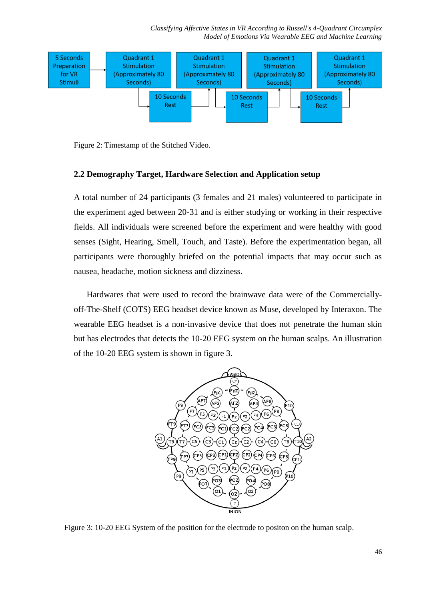*Classifying Affective States in VR According to Russell's 4-Quadrant Circumplex Model of Emotions Via Wearable EEG and Machine Learning*



Figure 2: Timestamp of the Stitched Video.

#### **2.2 Demography Target, Hardware Selection and Application setup**

A total number of 24 participants (3 females and 21 males) volunteered to participate in the experiment aged between 20-31 and is either studying or working in their respective fields. All individuals were screened before the experiment and were healthy with good senses (Sight, Hearing, Smell, Touch, and Taste). Before the experimentation began, all participants were thoroughly briefed on the potential impacts that may occur such as nausea, headache, motion sickness and dizziness.

Hardwares that were used to record the brainwave data were of the Commerciallyoff-The-Shelf (COTS) EEG headset device known as Muse, developed by Interaxon. The wearable EEG headset is a non-invasive device that does not penetrate the human skin but has electrodes that detects the 10-20 EEG system on the human scalps. An illustration of the 10-20 EEG system is shown in figure 3.



Figure 3: 10-20 EEG System of the position for the electrode to positon on the human scalp.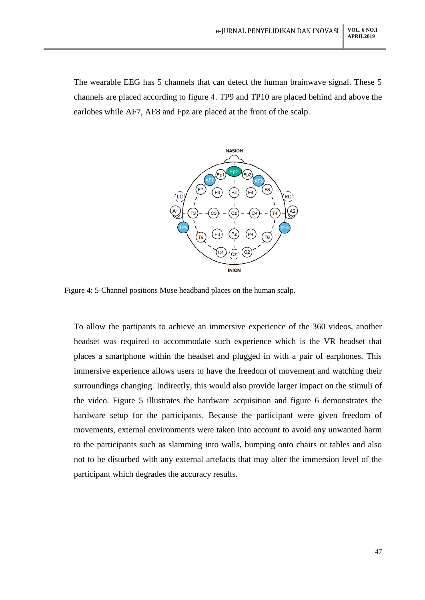The wearable EEG has 5 channels that can detect the human brainwave signal. These 5 channels are placed according to figure 4. TP9 and TP10 are placed behind and above the earlobes while AF7, AF8 and Fpz are placed at the front of the scalp.



Figure 4: 5-Channel positions Muse headband places on the human scalp.

To allow the partipants to achieve an immersive experience of the 360 videos, another headset was required to accommodate such experience which is the VR headset that places a smartphone within the headset and plugged in with a pair of earphones. This immersive experience allows users to have the freedom of movement and watching their surroundings changing. Indirectly, this would also provide larger impact on the stimuli of the video. Figure 5 illustrates the hardware acquisition and figure 6 demonstrates the hardware setup for the participants. Because the participant were given freedom of movements, external environments were taken into account to avoid any unwanted harm to the participants such as slamming into walls, bumping onto chairs or tables and also not to be disturbed with any external artefacts that may alter the immersion level of the participant which degrades the accuracy results.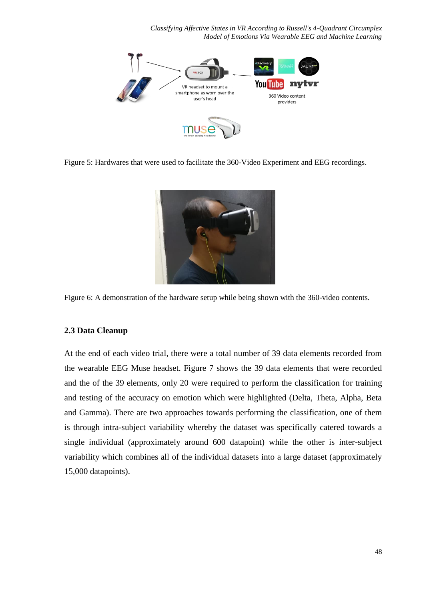*Classifying Affective States in VR According to Russell's 4-Quadrant Circumplex Model of Emotions Via Wearable EEG and Machine Learning*



Figure 5: Hardwares that were used to facilitate the 360-Video Experiment and EEG recordings.



Figure 6: A demonstration of the hardware setup while being shown with the 360-video contents.

#### **2.3 Data Cleanup**

At the end of each video trial, there were a total number of 39 data elements recorded from the wearable EEG Muse headset. Figure 7 shows the 39 data elements that were recorded and the of the 39 elements, only 20 were required to perform the classification for training and testing of the accuracy on emotion which were highlighted (Delta, Theta, Alpha, Beta and Gamma). There are two approaches towards performing the classification, one of them is through intra-subject variability whereby the dataset was specifically catered towards a single individual (approximately around 600 datapoint) while the other is inter-subject variability which combines all of the individual datasets into a large dataset (approximately 15,000 datapoints).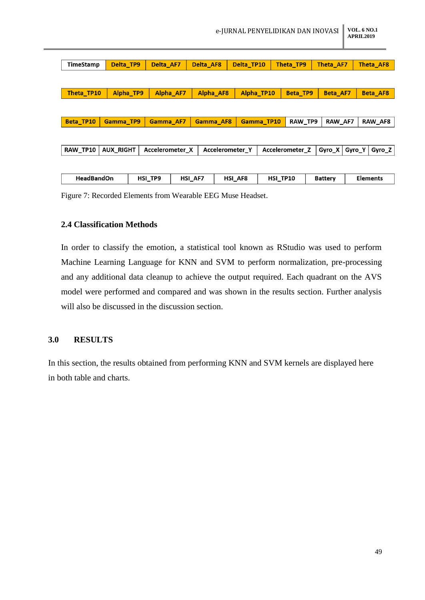|                   | e-JURNAL PENYELIDIKAN DAN INOVASI |         |                 |           |         |                                    |          | <b>VOL. 6 NO.1</b><br><b>APRIL2019</b> |                 |        |                  |  |
|-------------------|-----------------------------------|---------|-----------------|-----------|---------|------------------------------------|----------|----------------------------------------|-----------------|--------|------------------|--|
|                   |                                   |         |                 |           |         |                                    |          |                                        |                 |        |                  |  |
| TimeStamp         | Delta_TP9                         |         | Delta AF7       | Delta AF8 |         | Delta TP10                         |          | Theta TP9                              | Theta_AF7       |        | <b>Theta AF8</b> |  |
|                   |                                   |         |                 |           |         |                                    |          |                                        |                 |        |                  |  |
| Theta_TP10        | Alpha_TP9                         |         | Alpha AF7       | Alpha AF8 |         | Alpha TP10                         |          | Beta_TP9                               | <b>Beta AF7</b> |        | <b>Beta AF8</b>  |  |
|                   |                                   |         |                 |           |         |                                    |          |                                        |                 |        |                  |  |
| Beta_TP10         | <b>Gamma TP9</b>                  |         | Gamma AF7       | Gamma AF8 |         | <b>Gamma TP10</b>                  |          | RAW TP9                                | RAW_AF7         |        | RAW_AF8          |  |
|                   |                                   |         |                 |           |         |                                    |          |                                        |                 |        |                  |  |
| RAW_TP10          | <b>AUX_RIGHT</b>                  |         | Accelerometer X |           |         | Accelerometer Z<br>Accelerometer Y |          | Gyro_X                                 | Gyro_Y          | Gyro_Z |                  |  |
|                   |                                   |         |                 |           |         |                                    |          |                                        |                 |        |                  |  |
| <b>HeadBandOn</b> |                                   | HSI TP9 |                 | HSI AF7   | HSI AF8 |                                    | HSI TP10 |                                        | <b>Battery</b>  |        | <b>Elements</b>  |  |

Figure 7: Recorded Elements from Wearable EEG Muse Headset.

# **2.4 Classification Methods**

In order to classify the emotion, a statistical tool known as RStudio was used to perform Machine Learning Language for KNN and SVM to perform normalization, pre-processing and any additional data cleanup to achieve the output required. Each quadrant on the AVS model were performed and compared and was shown in the results section. Further analysis will also be discussed in the discussion section.

### **3.0 RESULTS**

In this section, the results obtained from performing KNN and SVM kernels are displayed here in both table and charts.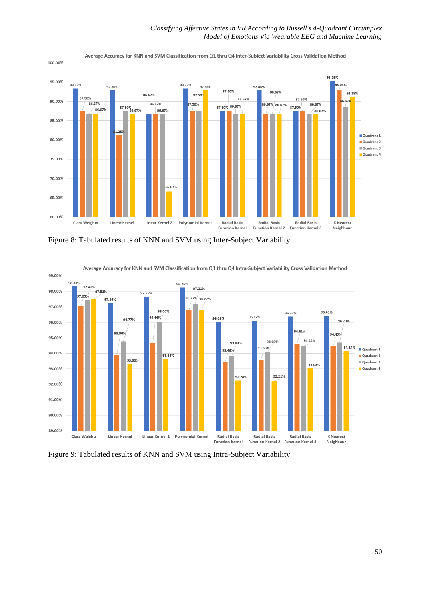

Average Accuracy for KNN and SVM Classification from Q1 thru Q4 Inter-Subject Variability Cross Validation Method

Figure 8: Tabulated results of KNN and SVM using Inter-Subject Variability



Average Accuracy for KNN and SVM Classification from Q1 thru Q4 Intra-Subject Variability Cross Validation Method

Figure 9: Tabulated results of KNN and SVM using Intra-Subject Variability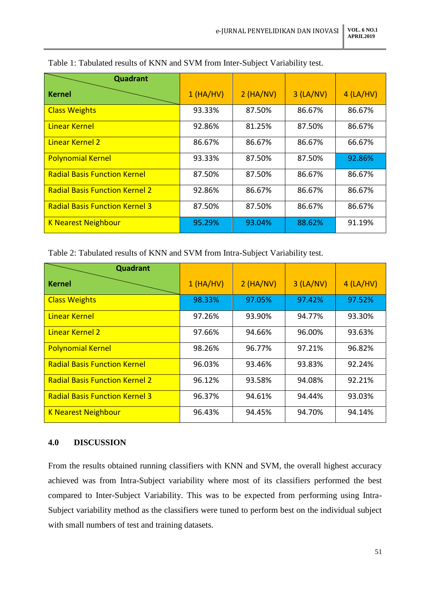| Quadrant                              |          |             |             |             |
|---------------------------------------|----------|-------------|-------------|-------------|
| <b>Kernel</b>                         | 1(HA/HV) | $2$ (HA/NV) | $3$ (LA/NV) | $4$ (LA/HV) |
| <b>Class Weights</b>                  | 93.33%   | 87.50%      | 86.67%      | 86.67%      |
| Linear Kernel                         | 92.86%   | 81.25%      | 87.50%      | 86.67%      |
| <b>Linear Kernel 2</b>                | 86.67%   | 86.67%      | 86.67%      | 66.67%      |
| <b>Polynomial Kernel</b>              | 93.33%   | 87.50%      | 87.50%      | 92.86%      |
| <b>Radial Basis Function Kernel</b>   | 87.50%   | 87.50%      | 86.67%      | 86.67%      |
| <b>Radial Basis Function Kernel 2</b> | 92.86%   | 86.67%      | 86.67%      | 86.67%      |
| <b>Radial Basis Function Kernel 3</b> | 87.50%   | 87.50%      | 86.67%      | 86.67%      |
| <b>K Nearest Neighbour</b>            | 95.29%   | 93.04%      | 88.62%      | 91.19%      |

# Table 1: Tabulated results of KNN and SVM from Inter-Subject Variability test.

Table 2: Tabulated results of KNN and SVM from Intra-Subject Variability test.

| Quadrant                              |          |             |             |             |
|---------------------------------------|----------|-------------|-------------|-------------|
| <b>Kernel</b>                         | 1(HA/HV) | $2$ (HA/NV) | $3$ (LA/NV) | $4$ (LA/HV) |
| <b>Class Weights</b>                  | 98.33%   | 97.05%      | 97.42%      | 97.52%      |
| Linear Kernel                         | 97.26%   | 93.90%      | 94.77%      | 93.30%      |
| <b>Linear Kernel 2</b>                | 97.66%   | 94.66%      | 96.00%      | 93.63%      |
| <b>Polynomial Kernel</b>              | 98.26%   | 96.77%      | 97.21%      | 96.82%      |
| <b>Radial Basis Function Kernel</b>   | 96.03%   | 93.46%      | 93.83%      | 92.24%      |
| <b>Radial Basis Function Kernel 2</b> | 96.12%   | 93.58%      | 94.08%      | 92.21%      |
| <b>Radial Basis Function Kernel 3</b> | 96.37%   | 94.61%      | 94.44%      | 93.03%      |
| <b>K Nearest Neighbour</b>            | 96.43%   | 94.45%      | 94.70%      | 94.14%      |

# **4.0 DISCUSSION**

From the results obtained running classifiers with KNN and SVM, the overall highest accuracy achieved was from Intra-Subject variability where most of its classifiers performed the best compared to Inter-Subject Variability. This was to be expected from performing using Intra-Subject variability method as the classifiers were tuned to perform best on the individual subject with small numbers of test and training datasets.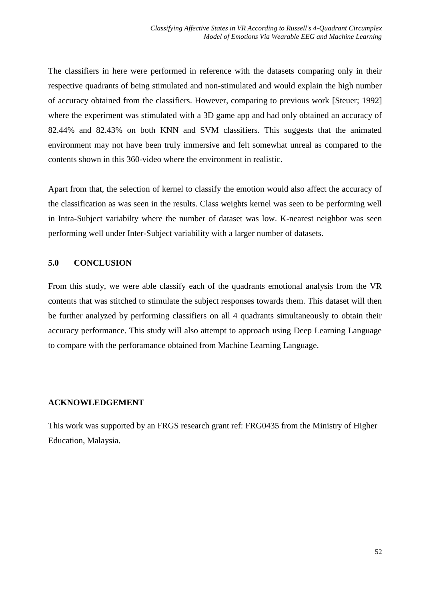The classifiers in here were performed in reference with the datasets comparing only in their respective quadrants of being stimulated and non-stimulated and would explain the high number of accuracy obtained from the classifiers. However, comparing to previous work [Steuer; 1992] where the experiment was stimulated with a 3D game app and had only obtained an accuracy of 82.44% and 82.43% on both KNN and SVM classifiers. This suggests that the animated environment may not have been truly immersive and felt somewhat unreal as compared to the contents shown in this 360-video where the environment in realistic.

Apart from that, the selection of kernel to classify the emotion would also affect the accuracy of the classification as was seen in the results. Class weights kernel was seen to be performing well in Intra-Subject variabilty where the number of dataset was low. K-nearest neighbor was seen performing well under Inter-Subject variability with a larger number of datasets.

# **5.0 CONCLUSION**

From this study, we were able classify each of the quadrants emotional analysis from the VR contents that was stitched to stimulate the subject responses towards them. This dataset will then be further analyzed by performing classifiers on all 4 quadrants simultaneously to obtain their accuracy performance. This study will also attempt to approach using Deep Learning Language to compare with the perforamance obtained from Machine Learning Language.

### **ACKNOWLEDGEMENT**

This work was supported by an FRGS research grant ref: FRG0435 from the Ministry of Higher Education, Malaysia.